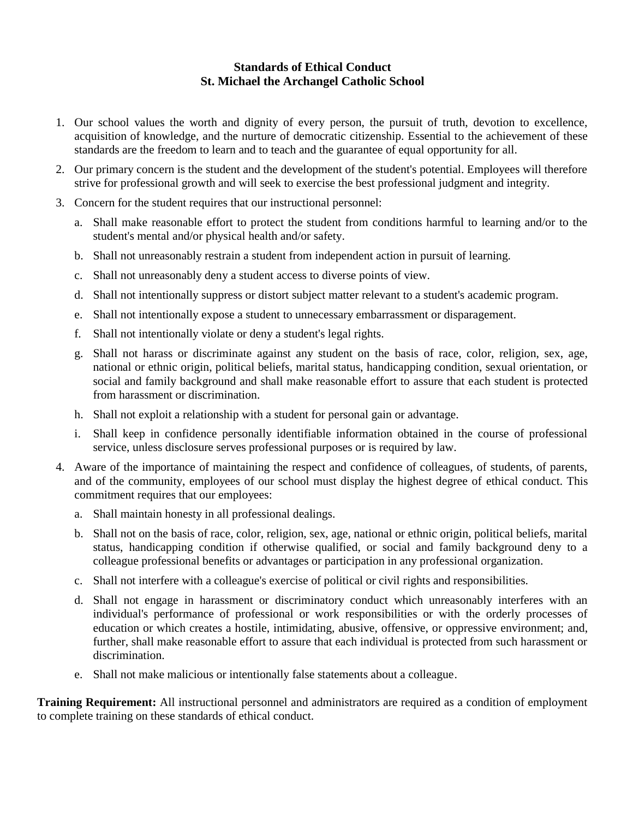## **Standards of Ethical Conduct St. Michael the Archangel Catholic School**

- 1. Our school values the worth and dignity of every person, the pursuit of truth, devotion to excellence, acquisition of knowledge, and the nurture of democratic citizenship. Essential to the achievement of these standards are the freedom to learn and to teach and the guarantee of equal opportunity for all.
- 2. Our primary concern is the student and the development of the student's potential. Employees will therefore strive for professional growth and will seek to exercise the best professional judgment and integrity.
- 3. Concern for the student requires that our instructional personnel:
	- a. Shall make reasonable effort to protect the student from conditions harmful to learning and/or to the student's mental and/or physical health and/or safety.
	- b. Shall not unreasonably restrain a student from independent action in pursuit of learning.
	- c. Shall not unreasonably deny a student access to diverse points of view.
	- d. Shall not intentionally suppress or distort subject matter relevant to a student's academic program.
	- e. Shall not intentionally expose a student to unnecessary embarrassment or disparagement.
	- f. Shall not intentionally violate or deny a student's legal rights.
	- g. Shall not harass or discriminate against any student on the basis of race, color, religion, sex, age, national or ethnic origin, political beliefs, marital status, handicapping condition, sexual orientation, or social and family background and shall make reasonable effort to assure that each student is protected from harassment or discrimination.
	- h. Shall not exploit a relationship with a student for personal gain or advantage.
	- i. Shall keep in confidence personally identifiable information obtained in the course of professional service, unless disclosure serves professional purposes or is required by law.
- 4. Aware of the importance of maintaining the respect and confidence of colleagues, of students, of parents, and of the community, employees of our school must display the highest degree of ethical conduct. This commitment requires that our employees:
	- a. Shall maintain honesty in all professional dealings.
	- b. Shall not on the basis of race, color, religion, sex, age, national or ethnic origin, political beliefs, marital status, handicapping condition if otherwise qualified, or social and family background deny to a colleague professional benefits or advantages or participation in any professional organization.
	- c. Shall not interfere with a colleague's exercise of political or civil rights and responsibilities.
	- d. Shall not engage in harassment or discriminatory conduct which unreasonably interferes with an individual's performance of professional or work responsibilities or with the orderly processes of education or which creates a hostile, intimidating, abusive, offensive, or oppressive environment; and, further, shall make reasonable effort to assure that each individual is protected from such harassment or discrimination.
	- e. Shall not make malicious or intentionally false statements about a colleague.

**Training Requirement:** All instructional personnel and administrators are required as a condition of employment to complete training on these standards of ethical conduct.